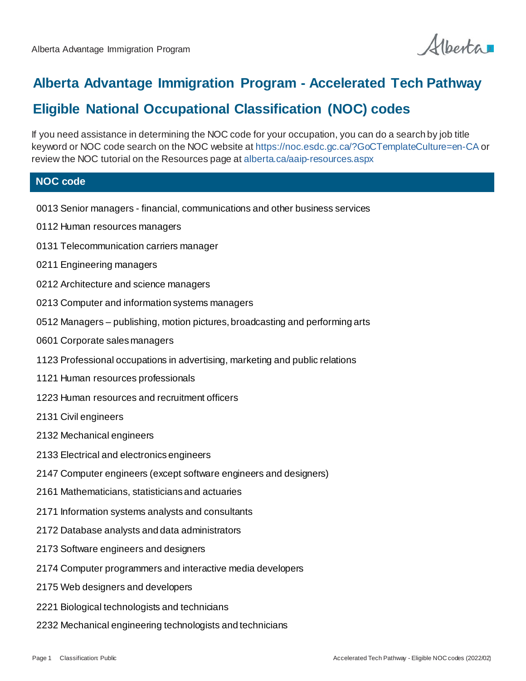Alberta

## **Alberta Advantage Immigration Program - Accelerated Tech Pathway**

## **Eligible National Occupational Classification (NOC) codes**

If you need assistance in determining the NOC code for your occupation, you can do a search by job title keyword or NOC code search on the NOC website at https://noc.esdc.gc.ca/?GoCTemplateCulture=en-CA or review the NOC tutorial on the Resources page at alberta.ca/aaip-resources.aspx

## **NOC code**

- 0013 Senior managers financial, communications and other business services
- 0112 Human resources managers
- 0131 Telecommunication carriers manager
- 0211 Engineering managers
- 0212 Architecture and science managers
- 0213 Computer and information systems managers
- 0512 Managers publishing, motion pictures, broadcasting and performing arts
- 0601 Corporate sales managers
- 1123 Professional occupations in advertising, marketing and public relations
- 1121 Human resources professionals
- 1223 Human resources and recruitment officers
- 2131 Civil engineers
- 2132 Mechanical engineers
- 2133 Electrical and electronics engineers
- 2147 Computer engineers (except software engineers and designers)
- 2161 Mathematicians, statisticians and actuaries
- 2171 Information systems analysts and consultants
- 2172 Database analysts and data administrators
- 2173 Software engineers and designers
- 2174 Computer programmers and interactive media developers
- 2175 Web designers and developers
- 2221 Biological technologists and technicians
- 2232 Mechanical engineering technologists and technicians